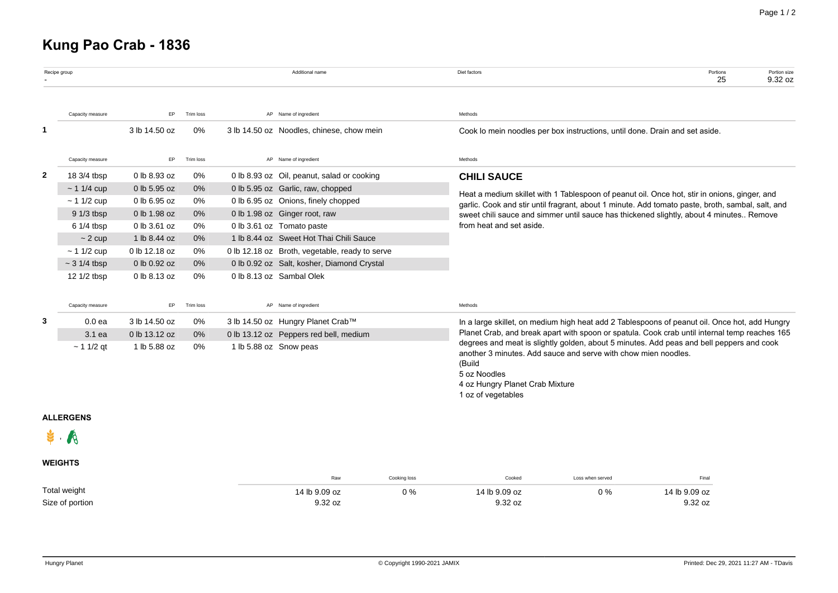# **Kung Pao Crab - 1836**

|              | Recipe group      |               |           |                        | Additional name                                | Diet factors<br>Portions<br>25                                                                                                                                                                                                                | Portion size<br>9.32 oz |  |  |  |  |  |
|--------------|-------------------|---------------|-----------|------------------------|------------------------------------------------|-----------------------------------------------------------------------------------------------------------------------------------------------------------------------------------------------------------------------------------------------|-------------------------|--|--|--|--|--|
|              | Capacity measure  | EP.           | Trim loss |                        | AP Name of ingredient                          | Methods                                                                                                                                                                                                                                       |                         |  |  |  |  |  |
|              |                   | 3 lb 14.50 oz | 0%        |                        | 3 lb 14.50 oz Noodles, chinese, chow mein      | Cook lo mein noodles per box instructions, until done. Drain and set aside.                                                                                                                                                                   |                         |  |  |  |  |  |
|              | Capacity measure  | EP.           | Trim loss |                        | AP Name of ingredient                          | Methods                                                                                                                                                                                                                                       |                         |  |  |  |  |  |
| $\mathbf{2}$ | 18 3/4 tbsp       | 0 lb 8.93 oz  | 0%        |                        | 0 lb 8.93 oz Oil, peanut, salad or cooking     | <b>CHILI SAUCE</b>                                                                                                                                                                                                                            |                         |  |  |  |  |  |
|              | $~11/4$ cup       | 0 lb 5.95 oz  | 0%        |                        | 0 lb 5.95 oz Garlic, raw, chopped              |                                                                                                                                                                                                                                               |                         |  |  |  |  |  |
|              | $~11/2$ cup       | 0 lb 6.95 oz  | 0%        |                        | 0 lb 6.95 oz Onions, finely chopped            | Heat a medium skillet with 1 Tablespoon of peanut oil. Once hot, stir in onions, ginger, and<br>garlic. Cook and stir until fragrant, about 1 minute. Add tomato paste, broth, sambal, salt, and                                              |                         |  |  |  |  |  |
|              | $91/3$ tbsp       | 0 lb 1.98 oz  | $0\%$     |                        | 0 lb 1.98 oz Ginger root, raw                  | sweet chili sauce and simmer until sauce has thickened slightly, about 4 minutes Remove                                                                                                                                                       |                         |  |  |  |  |  |
|              | $61/4$ tbsp       | 0 lb 3.61 oz  | 0%        |                        | 0 lb 3.61 oz Tomato paste                      | from heat and set aside.                                                                                                                                                                                                                      |                         |  |  |  |  |  |
|              | $\sim$ 2 cup      | 1 lb 8.44 oz  | $0\%$     |                        | 1 lb 8.44 oz Sweet Hot Thai Chili Sauce        |                                                                                                                                                                                                                                               |                         |  |  |  |  |  |
|              | $~11/2$ cup       | 0 lb 12.18 oz | 0%        |                        | 0 lb 12.18 oz Broth, vegetable, ready to serve |                                                                                                                                                                                                                                               |                         |  |  |  |  |  |
|              | $\sim$ 3 1/4 tbsp | 0 lb 0.92 oz  | $0\%$     |                        | 0 lb 0.92 oz Salt, kosher, Diamond Crystal     |                                                                                                                                                                                                                                               |                         |  |  |  |  |  |
|              | 12 1/2 tbsp       | 0 lb 8.13 oz  | 0%        |                        | 0 lb 8.13 oz Sambal Olek                       |                                                                                                                                                                                                                                               |                         |  |  |  |  |  |
|              | Capacity measure  | EP.           | Trim loss |                        | AP Name of ingredient                          | Methods                                                                                                                                                                                                                                       |                         |  |  |  |  |  |
| 3            | 0.0 <sub>ea</sub> | 3 lb 14.50 oz | 0%        |                        | 3 lb 14.50 oz Hungry Planet Crab™              | In a large skillet, on medium high heat add 2 Tablespoons of peanut oil. Once hot, add Hungry                                                                                                                                                 |                         |  |  |  |  |  |
|              | $3.1$ ea          | 0 lb 13.12 oz | $0\%$     |                        | 0 lb 13.12 oz Peppers red bell, medium         | Planet Crab, and break apart with spoon or spatula. Cook crab until internal temp reaches 165                                                                                                                                                 |                         |  |  |  |  |  |
|              | $~11/2$ qt        | 1 lb 5.88 oz  | 0%        | 1 lb 5.88 oz Snow peas |                                                | degrees and meat is slightly golden, about 5 minutes. Add peas and bell peppers and cook<br>another 3 minutes. Add sauce and serve with chow mien noodles.<br>(Build<br>5 oz Noodles<br>4 oz Hungry Planet Crab Mixture<br>1 oz of vegetables |                         |  |  |  |  |  |

### **ALLERGENS**

 $\bullet$ ,  $\bullet$ 

## **WEIGHTS**

|                 | Raw           | Cooking loss | Cooked<br>.   | Loss when served | Final         |
|-----------------|---------------|--------------|---------------|------------------|---------------|
| Total weight    | 14 lb 9.09 oz | 0%           | 14 lb 9.09 oz | 0 %              | 14 lb 9.09 oz |
| Size of portion | 9.32 oz       |              | 9.32 oz       |                  | 9.32 oz       |